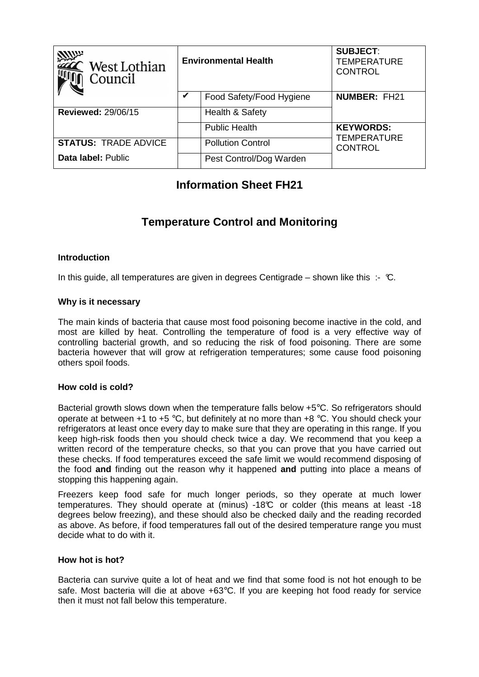| <b>Allum</b><br>West Lothian<br>Council | <b>Environmental Health</b> |                          | <b>SUBJECT:</b><br><b>TEMPERATURE</b><br><b>CONTROL</b> |
|-----------------------------------------|-----------------------------|--------------------------|---------------------------------------------------------|
|                                         | V                           | Food Safety/Food Hygiene | <b>NUMBER: FH21</b>                                     |
| <b>Reviewed: 29/06/15</b>               |                             | Health & Safety          |                                                         |
|                                         |                             | <b>Public Health</b>     | <b>KEYWORDS:</b>                                        |
| <b>STATUS: TRADE ADVICE</b>             |                             | <b>Pollution Control</b> | <b>TEMPERATURE</b><br><b>CONTROL</b>                    |
| Data label: Public                      |                             | Pest Control/Dog Warden  |                                                         |

# **Information Sheet FH21**

# **Temperature Control and Monitoring**

# **Introduction**

In this quide, all temperatures are given in degrees Centigrade – shown like this :- °C.

### **Why is it necessary**

The main kinds of bacteria that cause most food poisoning become inactive in the cold, and most are killed by heat. Controlling the temperature of food is a very effective way of controlling bacterial growth, and so reducing the risk of food poisoning. There are some bacteria however that will grow at refrigeration temperatures; some cause food poisoning others spoil foods.

# **How cold is cold?**

Bacterial growth slows down when the temperature falls below +5°C. So refrigerators should operate at between +1 to +5 °C, but definitely at no more than +8 °C. You should check your refrigerators at least once every day to make sure that they are operating in this range. If you keep high-risk foods then you should check twice a day. We recommend that you keep a written record of the temperature checks, so that you can prove that you have carried out these checks. If food temperatures exceed the safe limit we would recommend disposing of the food **and** finding out the reason why it happened **and** putting into place a means of stopping this happening again.

Freezers keep food safe for much longer periods, so they operate at much lower temperatures. They should operate at (minus) -18°C or colder (this means at least -18 degrees below freezing), and these should also be checked daily and the reading recorded as above. As before, if food temperatures fall out of the desired temperature range you must decide what to do with it.

# **How hot is hot?**

Bacteria can survive quite a lot of heat and we find that some food is not hot enough to be safe. Most bacteria will die at above +63°C. If you are keeping hot food ready for service then it must not fall below this temperature.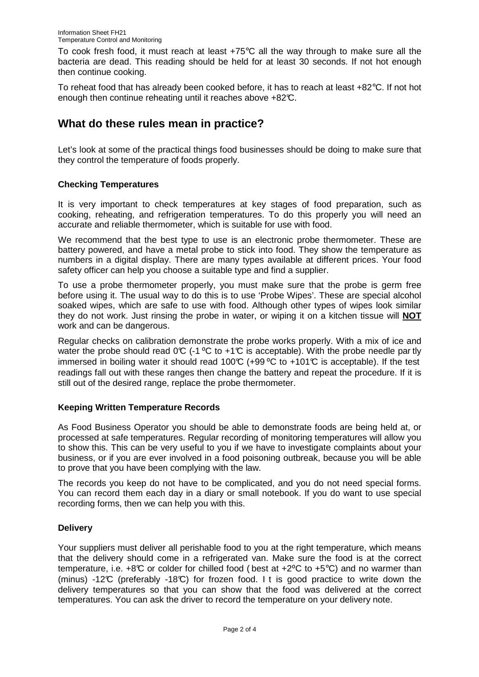To cook fresh food, it must reach at least +75°C all the way through to make sure all the bacteria are dead. This reading should be held for at least 30 seconds. If not hot enough then continue cooking.

To reheat food that has already been cooked before, it has to reach at least +82°C. If not hot enough then continue reheating until it reaches above +82°C.

# **What do these rules mean in practice?**

Let's look at some of the practical things food businesses should be doing to make sure that they control the temperature of foods properly.

# **Checking Temperatures**

It is very important to check temperatures at key stages of food preparation, such as cooking, reheating, and refrigeration temperatures. To do this properly you will need an accurate and reliable thermometer, which is suitable for use with food.

We recommend that the best type to use is an electronic probe thermometer. These are battery powered, and have a metal probe to stick into food. They show the temperature as numbers in a digital display. There are many types available at different prices. Your food safety officer can help you choose a suitable type and find a supplier.

To use a probe thermometer properly, you must make sure that the probe is germ free before using it. The usual way to do this is to use 'Probe Wipes'. These are special alcohol soaked wipes, which are safe to use with food. Although other types of wipes look similar they do not work. Just rinsing the probe in water, or wiping it on a kitchen tissue will **NOT** work and can be dangerous.

Regular checks on calibration demonstrate the probe works properly. With a mix of ice and water the probe should read  $0^\circ \mathbb{C}$  (-1 °C to +1°C is acceptable). With the probe needle par tly immersed in boiling water it should read 100°C (+99 °C to +101°C is acceptable). If the test readings fall out with these ranges then change the battery and repeat the procedure. If it is still out of the desired range, replace the probe thermometer.

# **Keeping Written Temperature Records**

As Food Business Operator you should be able to demonstrate foods are being held at, or processed at safe temperatures. Regular recording of monitoring temperatures will allow you to show this. This can be very useful to you if we have to investigate complaints about your business, or if you are ever involved in a food poisoning outbreak, because you will be able to prove that you have been complying with the law.

The records you keep do not have to be complicated, and you do not need special forms. You can record them each day in a diary or small notebook. If you do want to use special recording forms, then we can help you with this.

# **Delivery**

Your suppliers must deliver all perishable food to you at the right temperature, which means that the delivery should come in a refrigerated van. Make sure the food is at the correct temperature, i.e.  $+8\degree$  or colder for chilled food ( best at  $+2\degree$ C to  $+5\degree$ C) and no warmer than (minus) -12°C (preferably -18°C) for frozen food. I t is good practice to write down the delivery temperatures so that you can show that the food was delivered at the correct temperatures. You can ask the driver to record the temperature on your delivery note.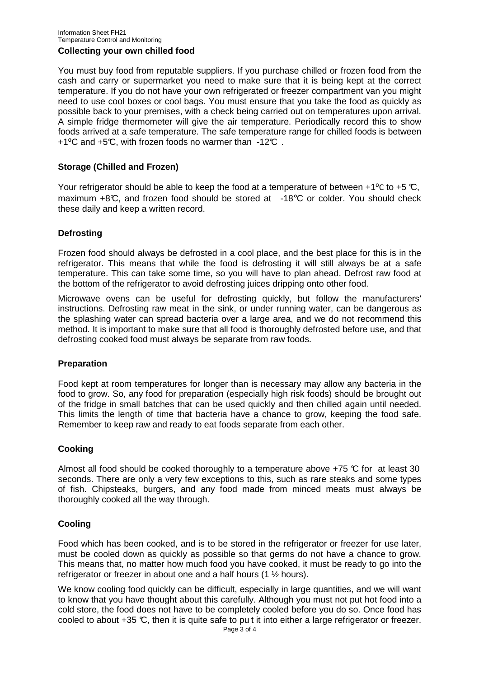#### Information Sheet FH21 Temperature Control and Monitoring **Collecting your own chilled food**

You must buy food from reputable suppliers. If you purchase chilled or frozen food from the cash and carry or supermarket you need to make sure that it is being kept at the correct temperature. If you do not have your own refrigerated or freezer compartment van you might need to use cool boxes or cool bags. You must ensure that you take the food as quickly as possible back to your premises, with a check being carried out on temperatures upon arrival. A simple fridge thermometer will give the air temperature. Periodically record this to show foods arrived at a safe temperature. The safe temperature range for chilled foods is between  $+1$ <sup>o</sup>C and  $+5$ °C, with frozen foods no warmer than  $-12$ °C.

# **Storage (Chilled and Frozen)**

Your refrigerator should be able to keep the food at a temperature of between +1<sup>o</sup>C to +5  $\mathbb{C}$ , maximum  $+8\text{°C}$ , and frozen food should be stored at  $-18\text{°C}$  or colder. You should check these daily and keep a written record.

# **Defrosting**

Frozen food should always be defrosted in a cool place, and the best place for this is in the refrigerator. This means that while the food is defrosting it will still always be at a safe temperature. This can take some time, so you will have to plan ahead. Defrost raw food at the bottom of the refrigerator to avoid defrosting juices dripping onto other food.

Microwave ovens can be useful for defrosting quickly, but follow the manufacturers' instructions. Defrosting raw meat in the sink, or under running water, can be dangerous as the splashing water can spread bacteria over a large area, and we do not recommend this method. It is important to make sure that all food is thoroughly defrosted before use, and that defrosting cooked food must always be separate from raw foods.

# **Preparation**

Food kept at room temperatures for longer than is necessary may allow any bacteria in the food to grow. So, any food for preparation (especially high risk foods) should be brought out of the fridge in small batches that can be used quickly and then chilled again until needed. This limits the length of time that bacteria have a chance to grow, keeping the food safe. Remember to keep raw and ready to eat foods separate from each other.

# **Cooking**

Almost all food should be cooked thoroughly to a temperature above  $+75$  °C for at least 30 seconds. There are only a very few exceptions to this, such as rare steaks and some types of fish. Chipsteaks, burgers, and any food made from minced meats must always be thoroughly cooked all the way through.

# **Cooling**

Food which has been cooked, and is to be stored in the refrigerator or freezer for use later, must be cooled down as quickly as possible so that germs do not have a chance to grow. This means that, no matter how much food you have cooked, it must be ready to go into the refrigerator or freezer in about one and a half hours (1 ½ hours).

We know cooling food quickly can be difficult, especially in large quantities, and we will want to know that you have thought about this carefully. Although you must not put hot food into a cold store, the food does not have to be completely cooled before you do so. Once food has cooled to about +35 °C, then it is quite safe to pu t it into either a large refrigerator or freezer.